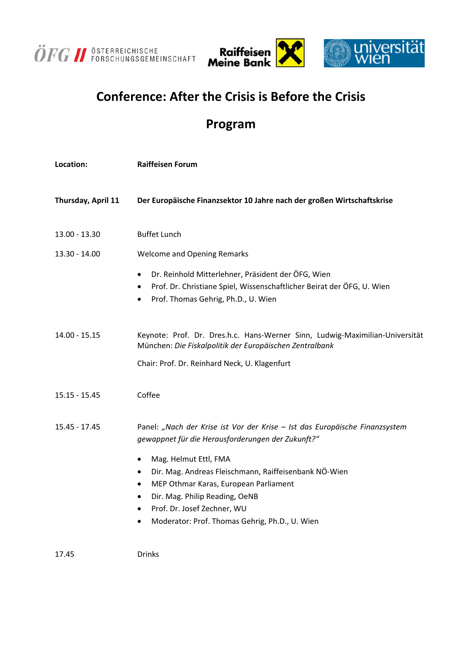



## **Conference: After the Crisis is Before the Crisis**

## **Program**

| Location:          | <b>Raiffeisen Forum</b>                                                                                                                                                                                                                                                                  |
|--------------------|------------------------------------------------------------------------------------------------------------------------------------------------------------------------------------------------------------------------------------------------------------------------------------------|
| Thursday, April 11 | Der Europäische Finanzsektor 10 Jahre nach der großen Wirtschaftskrise                                                                                                                                                                                                                   |
| 13.00 - 13.30      | <b>Buffet Lunch</b>                                                                                                                                                                                                                                                                      |
| 13.30 - 14.00      | <b>Welcome and Opening Remarks</b>                                                                                                                                                                                                                                                       |
|                    | Dr. Reinhold Mitterlehner, Präsident der ÖFG, Wien<br>٠<br>Prof. Dr. Christiane Spiel, Wissenschaftlicher Beirat der ÖFG, U. Wien<br>٠<br>Prof. Thomas Gehrig, Ph.D., U. Wien<br>$\bullet$                                                                                               |
| 14.00 - 15.15      | Keynote: Prof. Dr. Dres.h.c. Hans-Werner Sinn, Ludwig-Maximilian-Universität<br>München: Die Fiskalpolitik der Europäischen Zentralbank                                                                                                                                                  |
|                    | Chair: Prof. Dr. Reinhard Neck, U. Klagenfurt                                                                                                                                                                                                                                            |
| $15.15 - 15.45$    | Coffee                                                                                                                                                                                                                                                                                   |
| 15.45 - 17.45      | Panel: "Nach der Krise ist Vor der Krise - Ist das Europäische Finanzsystem<br>gewappnet für die Herausforderungen der Zukunft?"                                                                                                                                                         |
|                    | Mag. Helmut Ettl, FMA<br>٠<br>Dir. Mag. Andreas Fleischmann, Raiffeisenbank NÖ-Wien<br>$\bullet$<br>MEP Othmar Karas, European Parliament<br>٠<br>Dir. Mag. Philip Reading, OeNB<br>٠<br>Prof. Dr. Josef Zechner, WU<br>$\bullet$<br>Moderator: Prof. Thomas Gehrig, Ph.D., U. Wien<br>٠ |
| 17.45              | Drinks                                                                                                                                                                                                                                                                                   |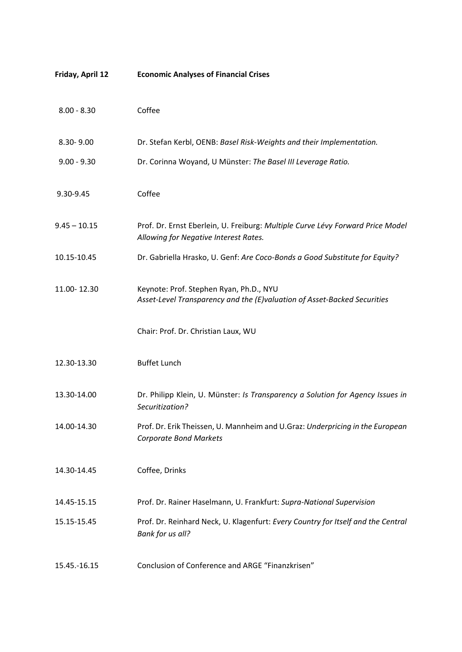| Friday, April 12 | <b>Economic Analyses of Financial Crises</b>                                                                            |
|------------------|-------------------------------------------------------------------------------------------------------------------------|
| $8.00 - 8.30$    | Coffee                                                                                                                  |
| 8.30-9.00        | Dr. Stefan Kerbl, OENB: Basel Risk-Weights and their Implementation.                                                    |
| $9.00 - 9.30$    | Dr. Corinna Woyand, U Münster: The Basel III Leverage Ratio.                                                            |
| 9.30-9.45        | Coffee                                                                                                                  |
| $9.45 - 10.15$   | Prof. Dr. Ernst Eberlein, U. Freiburg: Multiple Curve Lévy Forward Price Model<br>Allowing for Negative Interest Rates. |
| 10.15-10.45      | Dr. Gabriella Hrasko, U. Genf: Are Coco-Bonds a Good Substitute for Equity?                                             |
| 11.00-12.30      | Keynote: Prof. Stephen Ryan, Ph.D., NYU<br>Asset-Level Transparency and the (E)valuation of Asset-Backed Securities     |
|                  | Chair: Prof. Dr. Christian Laux, WU                                                                                     |
| 12.30-13.30      | <b>Buffet Lunch</b>                                                                                                     |
| 13.30-14.00      | Dr. Philipp Klein, U. Münster: Is Transparency a Solution for Agency Issues in<br>Securitization?                       |
| 14.00-14.30      | Prof. Dr. Erik Theissen, U. Mannheim and U.Graz: Underpricing in the European<br><b>Corporate Bond Markets</b>          |
| 14.30-14.45      | Coffee, Drinks                                                                                                          |
| 14.45-15.15      | Prof. Dr. Rainer Haselmann, U. Frankfurt: Supra-National Supervision                                                    |
| 15.15-15.45      | Prof. Dr. Reinhard Neck, U. Klagenfurt: Every Country for Itself and the Central<br>Bank for us all?                    |
| 15.45.-16.15     | Conclusion of Conference and ARGE "Finanzkrisen"                                                                        |